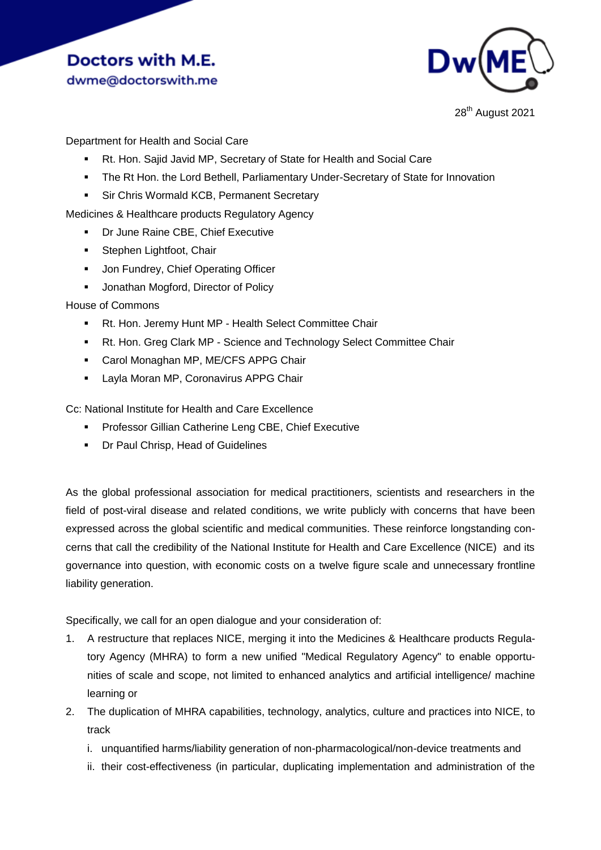# **Doctors with M.E.** dwme@doctorswith.me



28<sup>th</sup> August 2021

Department for Health and Social Care

- Rt. Hon. Sajid Javid MP, Secretary of State for Health and Social Care
- The Rt Hon. the Lord Bethell, Parliamentary Under-Secretary of State for Innovation
- **Sir Chris Wormald KCB, Permanent Secretary**

Medicines & Healthcare products Regulatory Agency

- **Dr June Raine CBE, Chief Executive**
- **Stephen Lightfoot, Chair**
- **Jon Fundrey, Chief Operating Officer**
- **Jonathan Mogford, Director of Policy**

# House of Commons

- Rt. Hon. Jeremy Hunt MP Health Select Committee Chair
- Rt. Hon. Greg Clark MP Science and Technology Select Committee Chair
- **Carol Monaghan MP, ME/CFS APPG Chair**
- **Layla Moran MP, Coronavirus APPG Chair**

Cc: National Institute for Health and Care Excellence

- **Professor Gillian Catherine Leng CBE, Chief Executive**
- **•** Dr Paul Chrisp, Head of Guidelines

As the global professional association for medical practitioners, scientists and researchers in the field of post-viral disease and related conditions, we write publicly with concerns that have been expressed across the global scientific and medical communities. These reinforce longstanding concerns that call the credibility of the National Institute for Health and Care Excellence (NICE) and its governance into question, with economic costs on a twelve figure scale and unnecessary frontline liability generation.

Specifically, we call for an open dialogue and your consideration of:

- 1. A restructure that replaces NICE, merging it into the Medicines & Healthcare products Regulatory Agency (MHRA) to form a new unified "Medical Regulatory Agency" to enable opportunities of scale and scope, not limited to enhanced analytics and artificial intelligence/ machine learning or
- 2. The duplication of MHRA capabilities, technology, analytics, culture and practices into NICE, to track
	- i. unquantified harms/liability generation of non-pharmacological/non-device treatments and
	- ii. their cost-effectiveness (in particular, duplicating implementation and administration of the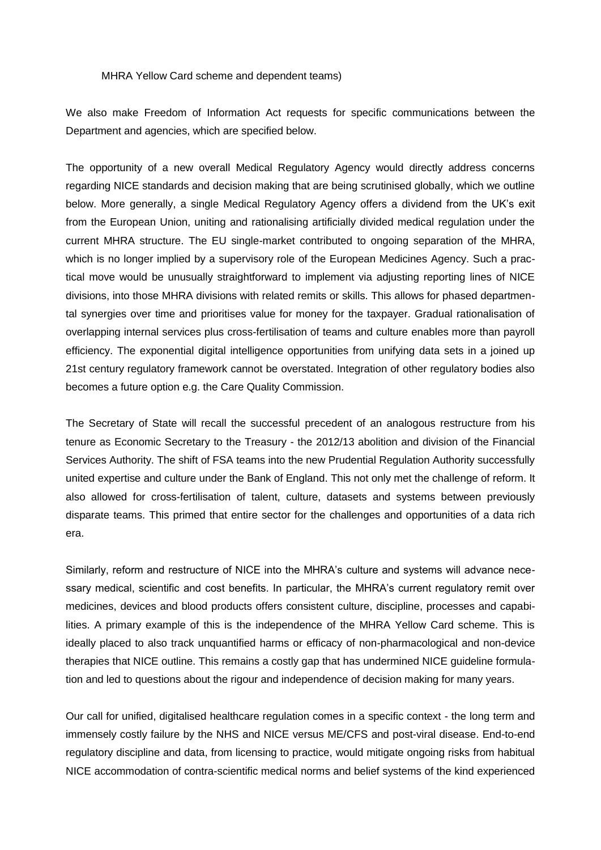#### MHRA Yellow Card scheme and dependent teams)

We also make Freedom of Information Act requests for specific communications between the Department and agencies, which are specified below.

The opportunity of a new overall Medical Regulatory Agency would directly address concerns regarding NICE standards and decision making that are being scrutinised globally, which we outline below. More generally, a single Medical Regulatory Agency offers a dividend from the UK's exit from the European Union, uniting and rationalising artificially divided medical regulation under the current MHRA structure. The EU single-market contributed to ongoing separation of the MHRA, which is no longer implied by a supervisory role of the European Medicines Agency. Such a practical move would be unusually straightforward to implement via adjusting reporting lines of NICE divisions, into those MHRA divisions with related remits or skills. This allows for phased departmental synergies over time and prioritises value for money for the taxpayer. Gradual rationalisation of overlapping internal services plus cross-fertilisation of teams and culture enables more than payroll efficiency. The exponential digital intelligence opportunities from unifying data sets in a joined up 21st century regulatory framework cannot be overstated. Integration of other regulatory bodies also becomes a future option e.g. the Care Quality Commission.

The Secretary of State will recall the successful precedent of an analogous restructure from his tenure as Economic Secretary to the Treasury - the 2012/13 abolition and division of the Financial Services Authority. The shift of FSA teams into the new Prudential Regulation Authority successfully united expertise and culture under the Bank of England. This not only met the challenge of reform. It also allowed for cross-fertilisation of talent, culture, datasets and systems between previously disparate teams. This primed that entire sector for the challenges and opportunities of a data rich era.

Similarly, reform and restructure of NICE into the MHRA's culture and systems will advance necessary medical, scientific and cost benefits. In particular, the MHRA's current regulatory remit over medicines, devices and blood products offers consistent culture, discipline, processes and capabilities. A primary example of this is the independence of the MHRA Yellow Card scheme. This is ideally placed to also track unquantified harms or efficacy of non-pharmacological and non-device therapies that NICE outline. This remains a costly gap that has undermined NICE guideline formulation and led to questions about the rigour and independence of decision making for many years.

Our call for unified, digitalised healthcare regulation comes in a specific context - the long term and immensely costly failure by the NHS and NICE versus ME/CFS and post-viral disease. End-to-end regulatory discipline and data, from licensing to practice, would mitigate ongoing risks from habitual NICE accommodation of contra-scientific medical norms and belief systems of the kind experienced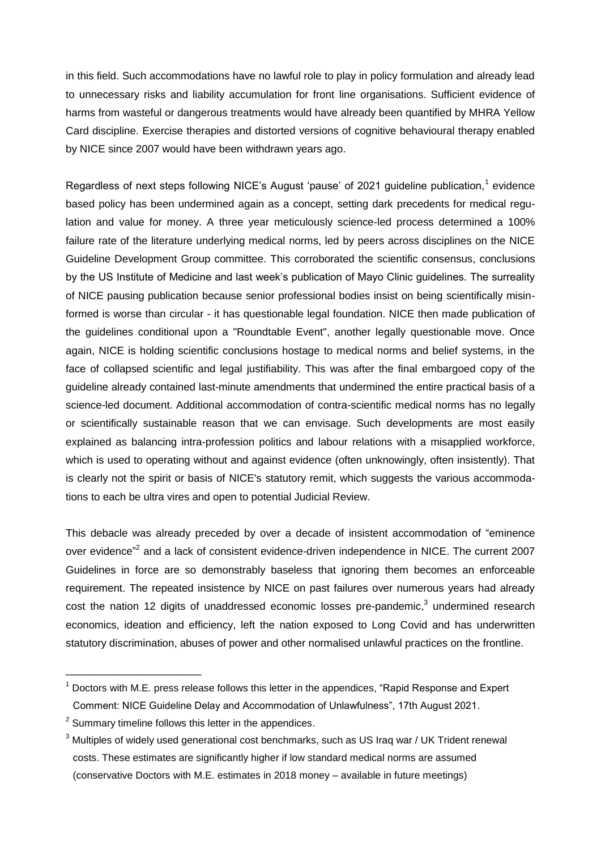in this field. Such accommodations have no lawful role to play in policy formulation and already lead to unnecessary risks and liability accumulation for front line organisations. Sufficient evidence of harms from wasteful or dangerous treatments would have already been quantified by MHRA Yellow Card discipline. Exercise therapies and distorted versions of cognitive behavioural therapy enabled by NICE since 2007 would have been withdrawn years ago.

Regardless of next steps following NICE's August 'pause' of 2021 guideline publication,<sup>1</sup> evidence based policy has been undermined again as a concept, setting dark precedents for medical regulation and value for money. A three year meticulously science-led process determined a 100% failure rate of the literature underlying medical norms, led by peers across disciplines on the NICE Guideline Development Group committee. This corroborated the scientific consensus, conclusions by the US Institute of Medicine and last week's publication of Mayo Clinic guidelines. The surreality of NICE pausing publication because senior professional bodies insist on being scientifically misinformed is worse than circular - it has questionable legal foundation. NICE then made publication of the guidelines conditional upon a "Roundtable Event", another legally questionable move. Once again, NICE is holding scientific conclusions hostage to medical norms and belief systems, in the face of collapsed scientific and legal justifiability. This was after the final embargoed copy of the guideline already contained last-minute amendments that undermined the entire practical basis of a science-led document. Additional accommodation of contra-scientific medical norms has no legally or scientifically sustainable reason that we can envisage. Such developments are most easily explained as balancing intra-profession politics and labour relations with a misapplied workforce, which is used to operating without and against evidence (often unknowingly, often insistently). That is clearly not the spirit or basis of NICE's statutory remit, which suggests the various accommodations to each be ultra vires and open to potential Judicial Review.

This debacle was already preceded by over a decade of insistent accommodation of "eminence over evidence"<sup>2</sup> and a lack of consistent evidence-driven independence in NICE. The current 2007 Guidelines in force are so demonstrably baseless that ignoring them becomes an enforceable requirement. The repeated insistence by NICE on past failures over numerous years had already cost the nation 12 digits of unaddressed economic losses pre-pandemic, $3$  undermined research economics, ideation and efficiency, left the nation exposed to Long Covid and has underwritten statutory discrimination, abuses of power and other normalised unlawful practices on the frontline.

\_\_\_\_\_\_\_\_\_\_\_\_\_\_\_\_\_\_\_\_\_\_\_

 $<sup>1</sup>$  Doctors with M.E. press release follows this letter in the appendices, "Rapid Response and Expert</sup> Comment: NICE Guideline Delay and Accommodation of Unlawfulness", 17th August 2021.

 $2$  Summary timeline follows this letter in the appendices.

 $3$  Multiples of widely used generational cost benchmarks, such as US Iraq war / UK Trident renewal costs. These estimates are significantly higher if low standard medical norms are assumed (conservative Doctors with M.E. estimates in 2018 money – available in future meetings)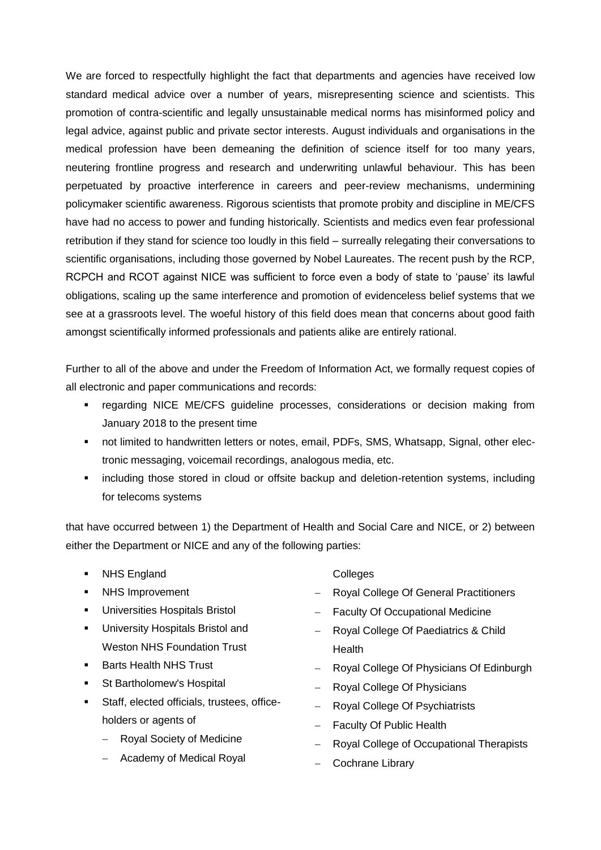We are forced to respectfully highlight the fact that departments and agencies have received low standard medical advice over a number of years, misrepresenting science and scientists. This promotion of contra-scientific and legally unsustainable medical norms has misinformed policy and legal advice, against public and private sector interests. August individuals and organisations in the medical profession have been demeaning the definition of science itself for too many years, neutering frontline progress and research and underwriting unlawful behaviour. This has been perpetuated by proactive interference in careers and peer-review mechanisms, undermining policymaker scientific awareness. Rigorous scientists that promote probity and discipline in ME/CFS have had no access to power and funding historically. Scientists and medics even fear professional retribution if they stand for science too loudly in this field – surreally relegating their conversations to scientific organisations, including those governed by Nobel Laureates. The recent push by the RCP, RCPCH and RCOT against NICE was sufficient to force even a body of state to 'pause' its lawful obligations, scaling up the same interference and promotion of evidenceless belief systems that we see at a grassroots level. The woeful history of this field does mean that concerns about good faith amongst scientifically informed professionals and patients alike are entirely rational.

Further to all of the above and under the Freedom of Information Act, we formally request copies of all electronic and paper communications and records:

- regarding NICE ME/CFS guideline processes, considerations or decision making from January 2018 to the present time
- not limited to handwritten letters or notes, email, PDFs, SMS, Whatsapp, Signal, other electronic messaging, voicemail recordings, analogous media, etc.
- **EXECT** including those stored in cloud or offsite backup and deletion-retention systems, including for telecoms systems

that have occurred between 1) the Department of Health and Social Care and NICE, or 2) between either the Department or NICE and any of the following parties:

- **NHS England**
- NHS Improvement
- Universities Hospitals Bristol
- **University Hospitals Bristol and** Weston NHS Foundation Trust
- Barts Health NHS Trust
- St Bartholomew's Hospital
- Staff, elected officials, trustees, officeholders or agents of
	- Royal Society of Medicine
	- Academy of Medical Royal

**Colleges** 

- Royal College Of General Practitioners
- Faculty Of Occupational Medicine
- Royal College Of Paediatrics & Child **Health**
- Royal College Of Physicians Of Edinburgh
- Royal College Of Physicians
- Royal College Of Psychiatrists
- Faculty Of Public Health
- Royal College of Occupational Therapists
- Cochrane Library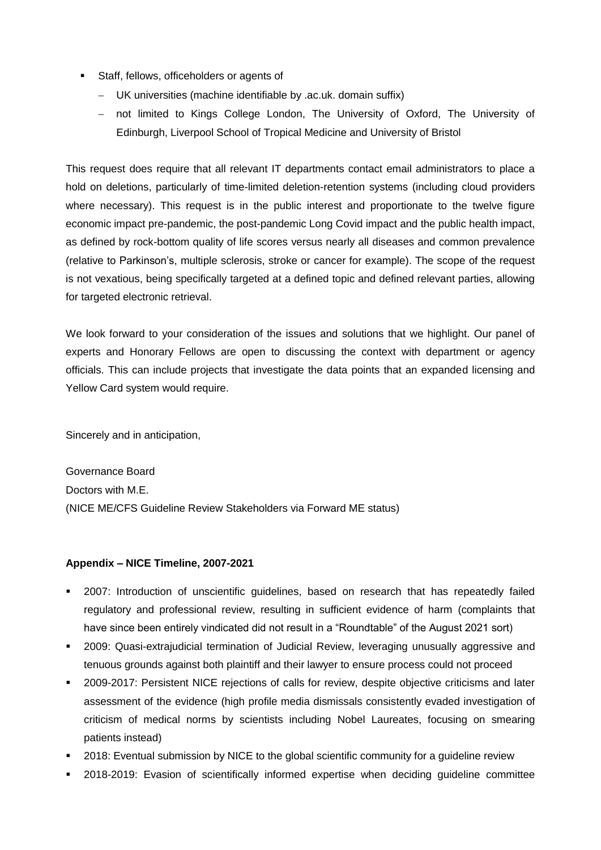- **Staff, fellows, officeholders or agents of** 
	- UK universities (machine identifiable by .ac.uk. domain suffix)
	- not limited to Kings College London, The University of Oxford, The University of Edinburgh, Liverpool School of Tropical Medicine and University of Bristol

This request does require that all relevant IT departments contact email administrators to place a hold on deletions, particularly of time-limited deletion-retention systems (including cloud providers where necessary). This request is in the public interest and proportionate to the twelve figure economic impact pre-pandemic, the post-pandemic Long Covid impact and the public health impact, as defined by rock-bottom quality of life scores versus nearly all diseases and common prevalence (relative to Parkinson's, multiple sclerosis, stroke or cancer for example). The scope of the request is not vexatious, being specifically targeted at a defined topic and defined relevant parties, allowing for targeted electronic retrieval.

We look forward to your consideration of the issues and solutions that we highlight. Our panel of experts and Honorary Fellows are open to discussing the context with department or agency officials. This can include projects that investigate the data points that an expanded licensing and Yellow Card system would require.

Sincerely and in anticipation,

Governance Board Doctors with M.E. (NICE ME/CFS Guideline Review Stakeholders via Forward ME status)

# **Appendix – NICE Timeline, 2007-2021**

- 2007: Introduction of unscientific guidelines, based on research that has repeatedly failed regulatory and professional review, resulting in sufficient evidence of harm (complaints that have since been entirely vindicated did not result in a "Roundtable" of the August 2021 sort)
- 2009: Quasi-extrajudicial termination of Judicial Review, leveraging unusually aggressive and tenuous grounds against both plaintiff and their lawyer to ensure process could not proceed
- 2009-2017: Persistent NICE rejections of calls for review, despite objective criticisms and later assessment of the evidence (high profile media dismissals consistently evaded investigation of criticism of medical norms by scientists including Nobel Laureates, focusing on smearing patients instead)
- 2018: Eventual submission by NICE to the global scientific community for a guideline review
- 2018-2019: Evasion of scientifically informed expertise when deciding guideline committee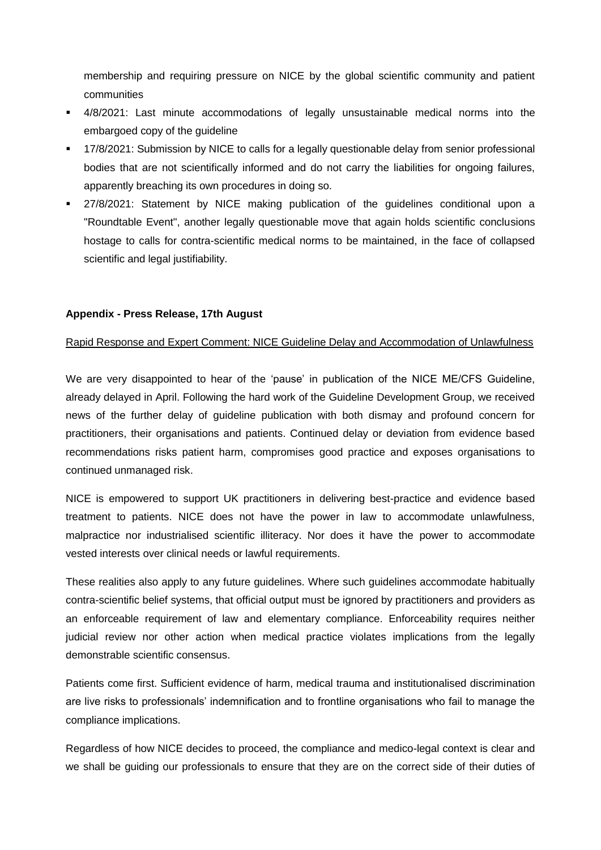membership and requiring pressure on NICE by the global scientific community and patient communities

- 4/8/2021: Last minute accommodations of legally unsustainable medical norms into the embargoed copy of the guideline
- 17/8/2021: Submission by NICE to calls for a legally questionable delay from senior professional bodies that are not scientifically informed and do not carry the liabilities for ongoing failures, apparently breaching its own procedures in doing so.
- 27/8/2021: Statement by NICE making publication of the guidelines conditional upon a "Roundtable Event", another legally questionable move that again holds scientific conclusions hostage to calls for contra-scientific medical norms to be maintained, in the face of collapsed scientific and legal justifiability.

## **Appendix - Press Release, 17th August**

## Rapid Response and Expert Comment: NICE Guideline Delay and Accommodation of Unlawfulness

We are very disappointed to hear of the 'pause' in publication of the NICE ME/CFS Guideline, already delayed in April. Following the hard work of the Guideline Development Group, we received news of the further delay of guideline publication with both dismay and profound concern for practitioners, their organisations and patients. Continued delay or deviation from evidence based recommendations risks patient harm, compromises good practice and exposes organisations to continued unmanaged risk.

NICE is empowered to support UK practitioners in delivering best-practice and evidence based treatment to patients. NICE does not have the power in law to accommodate unlawfulness, malpractice nor industrialised scientific illiteracy. Nor does it have the power to accommodate vested interests over clinical needs or lawful requirements.

These realities also apply to any future guidelines. Where such guidelines accommodate habitually contra-scientific belief systems, that official output must be ignored by practitioners and providers as an enforceable requirement of law and elementary compliance. Enforceability requires neither judicial review nor other action when medical practice violates implications from the legally demonstrable scientific consensus.

Patients come first. Sufficient evidence of harm, medical trauma and institutionalised discrimination are live risks to professionals' indemnification and to frontline organisations who fail to manage the compliance implications.

Regardless of how NICE decides to proceed, the compliance and medico-legal context is clear and we shall be guiding our professionals to ensure that they are on the correct side of their duties of